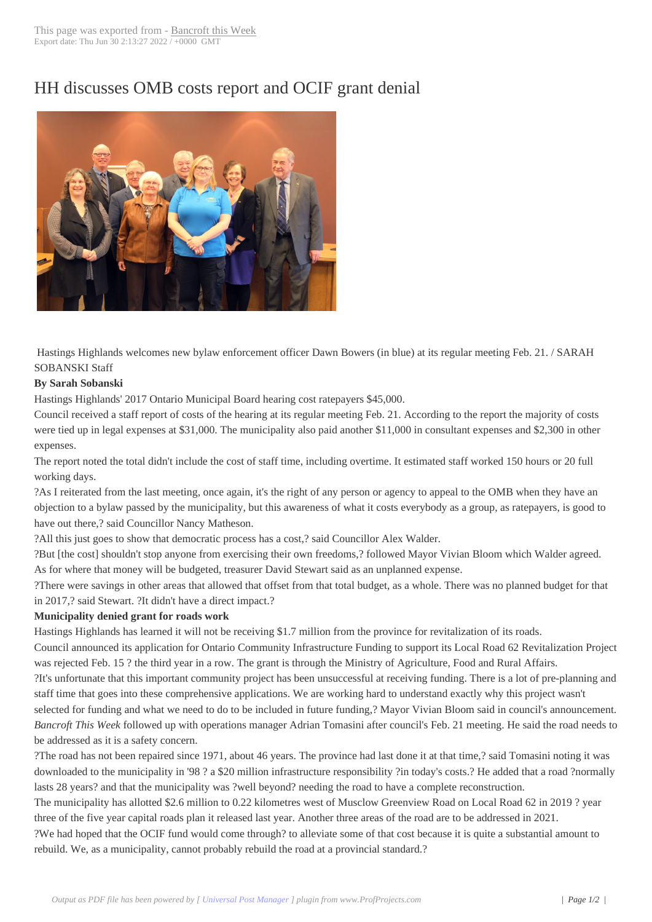## HH discusses OM[B costs report](http://www.bancroftthisweek.com/?p=8807) and OCIF grant denial



Hastings Highlands welcomes new bylaw enforcement officer Dawn Bowers (in blue) at its regular meeting Feb. 21. / SARAH SOBANSKI Staff

## **By Sarah Sobanski**

Hastings Highlands' 2017 Ontario Municipal Board hearing cost ratepayers \$45,000.

Council received a staff report of costs of the hearing at its regular meeting Feb. 21. According to the report the majority of costs were tied up in legal expenses at \$31,000. The municipality also paid another \$11,000 in consultant expenses and \$2,300 in other expenses.

The report noted the total didn't include the cost of staff time, including overtime. It estimated staff worked 150 hours or 20 full working days.

?As I reiterated from the last meeting, once again, it's the right of any person or agency to appeal to the OMB when they have an objection to a bylaw passed by the municipality, but this awareness of what it costs everybody as a group, as ratepayers, is good to have out there,? said Councillor Nancy Matheson.

?All this just goes to show that democratic process has a cost,? said Councillor Alex Walder.

?But [the cost] shouldn't stop anyone from exercising their own freedoms,? followed Mayor Vivian Bloom which Walder agreed. As for where that money will be budgeted, treasurer David Stewart said as an unplanned expense.

?There were savings in other areas that allowed that offset from that total budget, as a whole. There was no planned budget for that in 2017,? said Stewart. ?It didn't have a direct impact.?

## **Municipality denied grant for roads work**

Hastings Highlands has learned it will not be receiving \$1.7 million from the province for revitalization of its roads.

Council announced its application for Ontario Community Infrastructure Funding to support its Local Road 62 Revitalization Project was rejected Feb. 15 ? the third year in a row. The grant is through the Ministry of Agriculture, Food and Rural Affairs.

?It's unfortunate that this important community project has been unsuccessful at receiving funding. There is a lot of pre-planning and staff time that goes into these comprehensive applications. We are working hard to understand exactly why this project wasn't selected for funding and what we need to do to be included in future funding,? Mayor Vivian Bloom said in council's announcement. *Bancroft This Week* followed up with operations manager Adrian Tomasini after council's Feb. 21 meeting. He said the road needs to

be addressed as it is a safety concern.

?The road has not been repaired since 1971, about 46 years. The province had last done it at that time,? said Tomasini noting it was downloaded to the municipality in '98 ? a \$20 million infrastructure responsibility ?in today's costs.? He added that a road ?normally lasts 28 years? and that the municipality was ?well beyond? needing the road to have a complete reconstruction.

The municipality has allotted \$2.6 million to 0.22 kilometres west of Musclow Greenview Road on Local Road 62 in 2019 ? year three of the five year capital roads plan it released last year. Another three areas of the road are to be addressed in 2021.

?We had hoped that the OCIF fund would come through? to alleviate some of that cost because it is quite a substantial amount to rebuild. We, as a municipality, cannot probably rebuild the road at a provincial standard.?